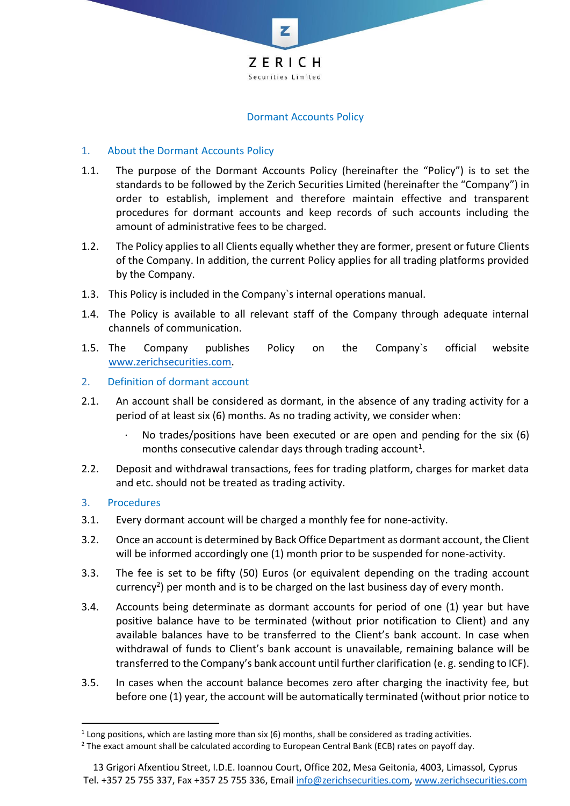

#### Dormant Accounts Policy

## 1. About the Dormant Accounts Policy

- 1.1. The purpose of the Dormant Accounts Policy (hereinafter the "Policy") is to set the standards to be followed by the Zerich Securities Limited (hereinafter the "Company") in order to establish, implement and therefore maintain effective and transparent procedures for dormant accounts and keep records of such accounts including the amount of administrative fees to be charged.
- 1.2. The Policy applies to all Clients equally whether they are former, present or future Clients of the Company. In addition, the current Policy applies for all trading platforms provided by the Company.
- 1.3. This Policy is included in the Company`s internal operations manual.
- 1.4. The Policy is available to all relevant staff of the Company through adequate internal channels of communication.
- 1.5. The Company publishes Policy on the Company`s official website [www.zerichsecurities.com.](http://www.zerichsecurities.com/)
- 2. Definition of dormant account
- 2.1. An account shall be considered as dormant, in the absence of any trading activity for a period of at least six (6) months. As no trading activity, we consider when:
	- No trades/positions have been executed or are open and pending for the six  $(6)$ months consecutive calendar days through trading account<sup>1</sup>.
- 2.2. Deposit and withdrawal transactions, fees for trading platform, charges for market data and etc. should not be treated as trading activity.

## 3. Procedures

- 3.1. Every dormant account will be charged a monthly fee for none-activity.
- 3.2. Once an account is determined by Back Office Department as dormant account, the Client will be informed accordingly one (1) month prior to be suspended for none-activity.
- 3.3. The fee is set to be fifty (50) Euros (or equivalent depending on the trading account currency<sup>2</sup>) per month and is to be charged on the last business day of every month.
- 3.4. Accounts being determinate as dormant accounts for period of one (1) year but have positive balance have to be terminated (without prior notification to Client) and any available balances have to be transferred to the Client's bank account. In case when withdrawal of funds to Client's bank account is unavailable, remaining balance will be transferred to the Company's bank account until further clarification (e. g. sending to ICF).
- 3.5. In cases when the account balance becomes zero after charging the inactivity fee, but before one (1) year, the account will be automatically terminated (without prior notice to

 $<sup>1</sup>$  Long positions, which are lasting more than six (6) months, shall be considered as trading activities.</sup>

 $2$  The exact amount shall be calculated according to European Central Bank (ECB) rates on payoff day.

<sup>13</sup> Grigori Afxentiou Street, I.D.E. Ioannou Court, Office 202, Mesa Geitonia, 4003, Limassol, Cyprus Tel. +357 25 755 337, Fax +357 25 755 336, Email [info@zerichsecurities.com,](mailto:info@zerichsecurities.com) [www.zerichsecurities.com](http://www.zerichsecurities.com/)